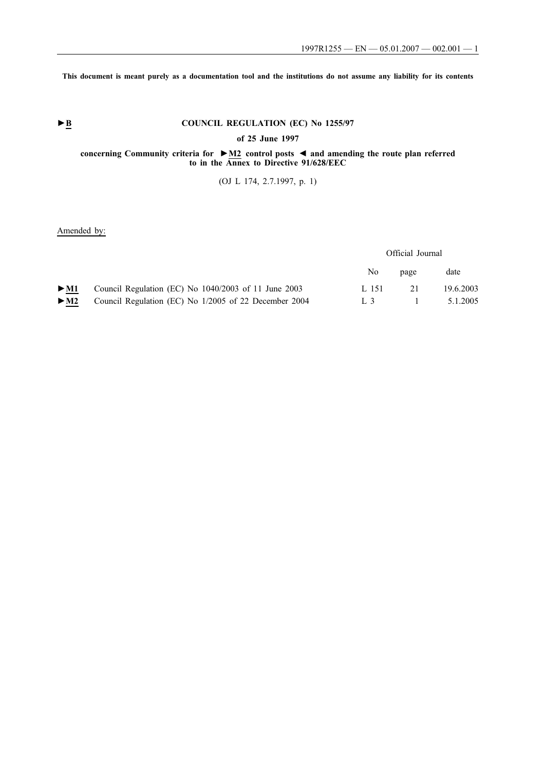**This document is meant purely as a documentation tool and the institutions do not assume any liability for its contents**

# ► **B** COUNCIL REGULATION (EC) No 1255/97

**of 25 June 1997**

### **concerning Community criteria for ►M2 control posts ◄ and amending the route plan referred to in the Annex to Directive 91/628/EEC**

(OJ L 174, 2.7.1997, p. 1)

## Amended by:

## Official Journal

|                                                                                | No.   | page | date           |
|--------------------------------------------------------------------------------|-------|------|----------------|
| $\blacktriangleright$ M1 Council Regulation (EC) No 1040/2003 of 11 June 2003  | L 151 | 2.1  | 19.6.2003      |
| $\blacktriangleright$ M2 Council Regulation (EC) No 1/2005 of 22 December 2004 |       |      | L 3 1 5.1.2005 |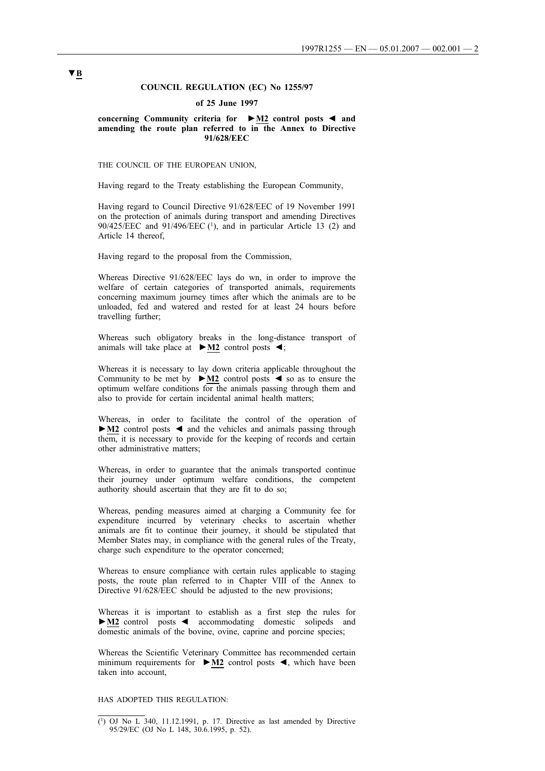## **COUNCIL REGULATION (EC) No 1255/97**

#### **of 25 June 1997**

**concerning Community criteria for ►M2 control posts** ◄ **and amending the route plan referred to in the Annex to Directive 91/628/EEC**

THE COUNCIL OF THE EUROPEAN UNION,

Having regard to the Treaty establishing the European Community,

Having regard to Council Directive 91/628/EEC of 19 November 1991 on the protection of animals during transport and amending Directives 90/425/EEC and 91/496/EEC (1), and in particular Article 13 (2) and Article 14 thereof,

Having regard to the proposal from the Commission,

Whereas Directive 91/628/EEC lays do wn, in order to improve the welfare of certain categories of transported animals, requirements concerning maximum journey times after which the animals are to be unloaded, fed and watered and rested for at least 24 hours before travelling further;

Whereas such obligatory breaks in the long-distance transport of animals will take place at **►M2** control posts ◄;

Whereas it is necessary to lay down criteria applicable throughout the Community to be met by **►M2** control posts ◄ so as to ensure the optimum welfare conditions for the animals passing through them and also to provide for certain incidental animal health matters;

Whereas, in order to facilitate the control of the operation of **►M2** control posts ◄ and the vehicles and animals passing through them, it is necessary to provide for the keeping of records and certain other administrative matters;

Whereas, in order to guarantee that the animals transported continue their journey under optimum welfare conditions, the competent authority should ascertain that they are fit to do so;

Whereas, pending measures aimed at charging a Community fee for expenditure incurred by veterinary checks to ascertain whether animals are fit to continue their journey, it should be stipulated that Member States may, in compliance with the general rules of the Treaty, charge such expenditure to the operator concerned;

Whereas to ensure compliance with certain rules applicable to staging posts, the route plan referred to in Chapter VIII of the Annex to Directive 91/628/EEC should be adjusted to the new provisions;

Whereas it is important to establish as a first step the rules for **►M2** control posts ◄ accommodating domestic solipeds and domestic animals of the bovine, ovine, caprine and porcine species;

Whereas the Scientific Veterinary Committee has recommended certain minimum requirements for **►M2** control posts ◄, which have been taken into account,

### HAS ADOPTED THIS REGULATION:

<sup>(1)</sup> OJ No L 340, 11.12.1991, p. 17. Directive as last amended by Directive 95/29/EC (OJ No L 148, 30.6.1995, p. 52).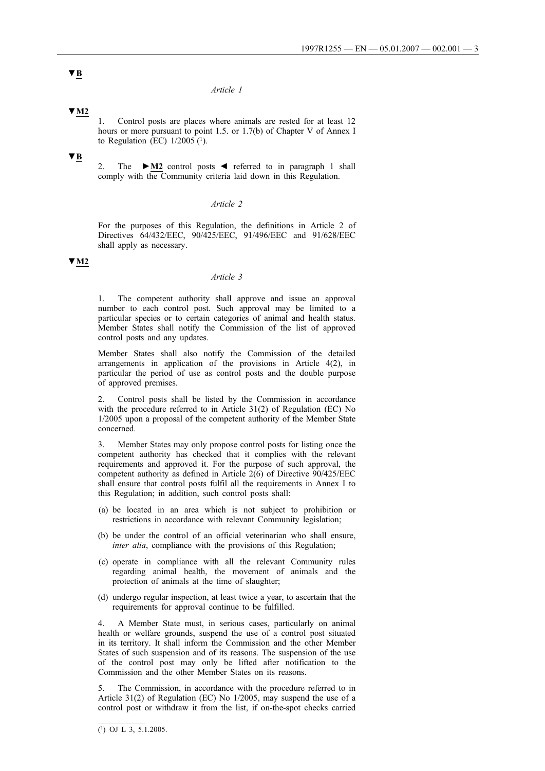### *Article 1*

## **▼M2**

1. Control posts are places where animals are rested for at least 12 hours or more pursuant to point 1.5. or 1.7(b) of Chapter V of Annex I to Regulation (EC)  $1/2005$  (<sup>1</sup>).

## **▼B**

2. The **►M2** control posts ◄ referred to in paragraph 1 shall comply with the Community criteria laid down in this Regulation.

### *Article 2*

For the purposes of this Regulation, the definitions in Article 2 of Directives 64/432/EEC, 90/425/EEC, 91/496/EEC and 91/628/EEC shall apply as necessary.

## **▼M2**

## *Article 3*

1. The competent authority shall approve and issue an approval number to each control post. Such approval may be limited to a particular species or to certain categories of animal and health status. Member States shall notify the Commission of the list of approved control posts and any updates.

Member States shall also notify the Commission of the detailed arrangements in application of the provisions in Article 4(2), in particular the period of use as control posts and the double purpose of approved premises.

2. Control posts shall be listed by the Commission in accordance with the procedure referred to in Article 31(2) of Regulation (EC) No 1/2005 upon a proposal of the competent authority of the Member State concerned.

3. Member States may only propose control posts for listing once the competent authority has checked that it complies with the relevant requirements and approved it. For the purpose of such approval, the competent authority as defined in Article 2(6) of Directive 90/425/EEC shall ensure that control posts fulfil all the requirements in Annex I to this Regulation; in addition, such control posts shall:

- (a) be located in an area which is not subject to prohibition or restrictions in accordance with relevant Community legislation;
- (b) be under the control of an official veterinarian who shall ensure, *inter alia*, compliance with the provisions of this Regulation;
- (c) operate in compliance with all the relevant Community rules regarding animal health, the movement of animals and the protection of animals at the time of slaughter;
- (d) undergo regular inspection, at least twice a year, to ascertain that the requirements for approval continue to be fulfilled.

4. A Member State must, in serious cases, particularly on animal health or welfare grounds, suspend the use of a control post situated in its territory. It shall inform the Commission and the other Member States of such suspension and of its reasons. The suspension of the use of the control post may only be lifted after notification to the Commission and the other Member States on its reasons.

5. The Commission, in accordance with the procedure referred to in Article 31(2) of Regulation (EC) No 1/2005, may suspend the use of a control post or withdraw it from the list, if on-the-spot checks carried

 $\overline{(\begin{smallmatrix}1\end{smallmatrix})$  OJ L 3, 5.1.2005.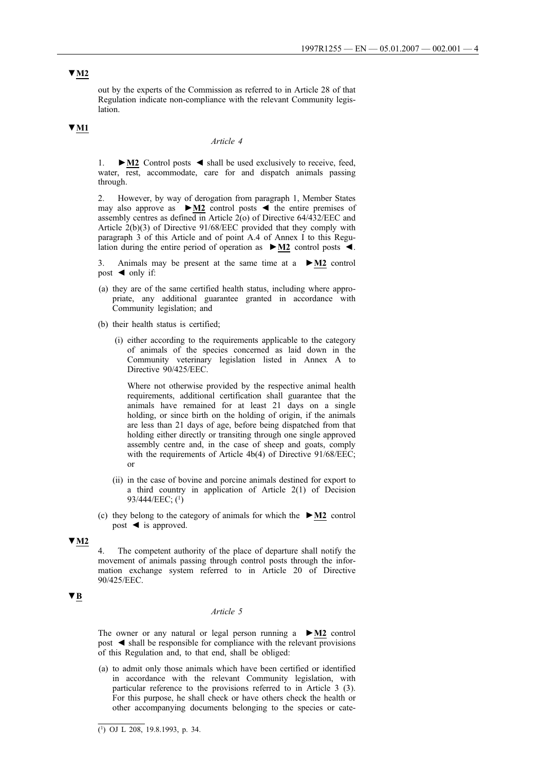# **▼M2**

out by the experts of the Commission as referred to in Article 28 of that Regulation indicate non-compliance with the relevant Community legislation.

# **▼M1**

#### *Article 4*

1. **►M2** Control posts ◄ shall be used exclusively to receive, feed, water, rest, accommodate, care for and dispatch animals passing through.

2. However, by way of derogation from paragraph 1, Member States may also approve as **►M2** control posts ◄ the entire premises of assembly centres as defined in Article 2(o) of Directive 64/432/EEC and Article 2(b)(3) of Directive 91/68/EEC provided that they comply with paragraph 3 of this Article and of point A.4 of Annex I to this Regulation during the entire period of operation as **►M2** control posts ◄.

3. Animals may be present at the same time at a **►M2** control post  $\triangleleft$  only if:

- (a) they are of the same certified health status, including where appropriate, any additional guarantee granted in accordance with Community legislation; and
- (b) their health status is certified;
	- (i) either according to the requirements applicable to the category of animals of the species concerned as laid down in the Community veterinary legislation listed in Annex A to Directive 90/425/EEC.

Where not otherwise provided by the respective animal health requirements, additional certification shall guarantee that the animals have remained for at least 21 days on a single holding, or since birth on the holding of origin, if the animals are less than 21 days of age, before being dispatched from that holding either directly or transiting through one single approved assembly centre and, in the case of sheep and goats, comply with the requirements of Article 4b(4) of Directive 91/68/EEC; or

- (ii) in the case of bovine and porcine animals destined for export to a third country in application of Article 2(1) of Decision 93/444/EEC; (1)
- (c) they belong to the category of animals for which the **►M2** control post ◄ is approved.

### **▼M2**

4. The competent authority of the place of departure shall notify the movement of animals passing through control posts through the information exchange system referred to in Article 20 of Directive 90/425/EEC.

## **▼B**

#### *Article 5*

The owner or any natural or legal person running a **►M2** control post ◄ shall be responsible for compliance with the relevant provisions of this Regulation and, to that end, shall be obliged:

(a) to admit only those animals which have been certified or identified in accordance with the relevant Community legislation, with particular reference to the provisions referred to in Article 3 (3). For this purpose, he shall check or have others check the health or other accompanying documents belonging to the species or cate-

 $\overline{(^1)}$  OJ L 208, 19.8.1993, p. 34.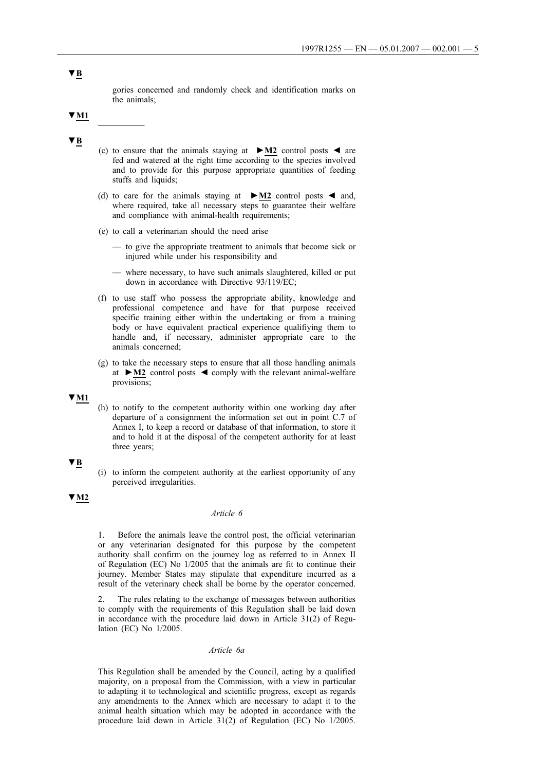gories concerned and randomly check and identification marks on the animals;

# **▼M1** \_\_\_\_\_\_\_\_\_\_

## **▼B**

- (c) to ensure that the animals staying at **►M2** control posts ◄ are fed and watered at the right time according to the species involved and to provide for this purpose appropriate quantities of feeding stuffs and liquids;
- (d) to care for the animals staying at **►M2** control posts ◄ and, where required, take all necessary steps to guarantee their welfare and compliance with animal-health requirements;
- (e) to call a veterinarian should the need arise
	- to give the appropriate treatment to animals that become sick or injured while under his responsibility and
	- where necessary, to have such animals slaughtered, killed or put down in accordance with Directive 93/119/EC;
- (f) to use staff who possess the appropriate ability, knowledge and professional competence and have for that purpose received specific training either within the undertaking or from a training body or have equivalent practical experience qualifiying them to handle and, if necessary, administer appropriate care to the animals concerned;
- (g) to take the necessary steps to ensure that all those handling animals at **►M2** control posts ◄ comply with the relevant animal-welfare provisions;

#### **▼M1**

(h) to notify to the competent authority within one working day after departure of a consignment the information set out in point C.7 of Annex I, to keep a record or database of that information, to store it and to hold it at the disposal of the competent authority for at least three years;

#### **▼B**

(i) to inform the competent authority at the earliest opportunity of any perceived irregularities.

## **▼M2**

#### *Article 6*

1. Before the animals leave the control post, the official veterinarian or any veterinarian designated for this purpose by the competent authority shall confirm on the journey log as referred to in Annex II of Regulation (EC) No 1/2005 that the animals are fit to continue their journey. Member States may stipulate that expenditure incurred as a result of the veterinary check shall be borne by the operator concerned.

2. The rules relating to the exchange of messages between authorities to comply with the requirements of this Regulation shall be laid down in accordance with the procedure laid down in Article 31(2) of Regulation (EC) No 1/2005.

### *Article 6a*

This Regulation shall be amended by the Council, acting by a qualified majority, on a proposal from the Commission, with a view in particular to adapting it to technological and scientific progress, except as regards any amendments to the Annex which are necessary to adapt it to the animal health situation which may be adopted in accordance with the procedure laid down in Article 31(2) of Regulation (EC) No 1/2005.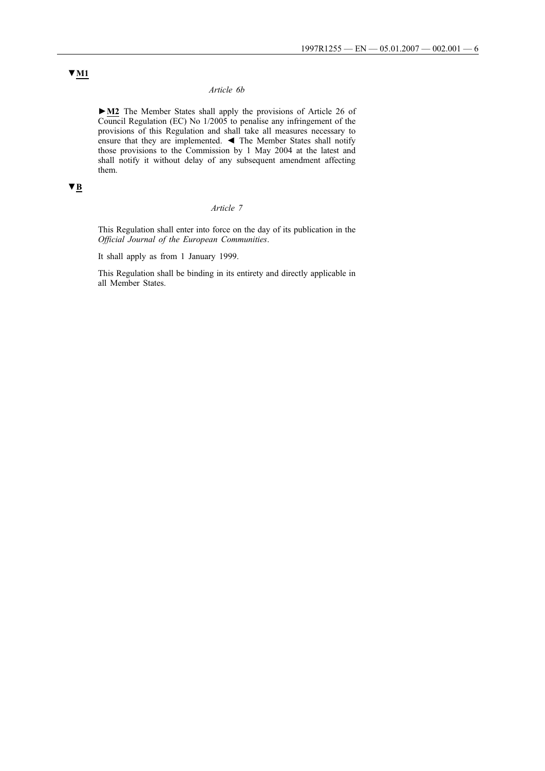### *Article 6b*

**►M2** The Member States shall apply the provisions of Article 26 of Council Regulation (EC) No 1/2005 to penalise any infringement of the provisions of this Regulation and shall take all measures necessary to ensure that they are implemented. ◄ The Member States shall notify those provisions to the Commission by 1 May 2004 at the latest and shall notify it without delay of any subsequent amendment affecting them.

# **▼B**

### *Article 7*

This Regulation shall enter into force on the day of its publication in the *Official Journal of the European Communities*.

It shall apply as from 1 January 1999.

This Regulation shall be binding in its entirety and directly applicable in all Member States.

# **▼M1**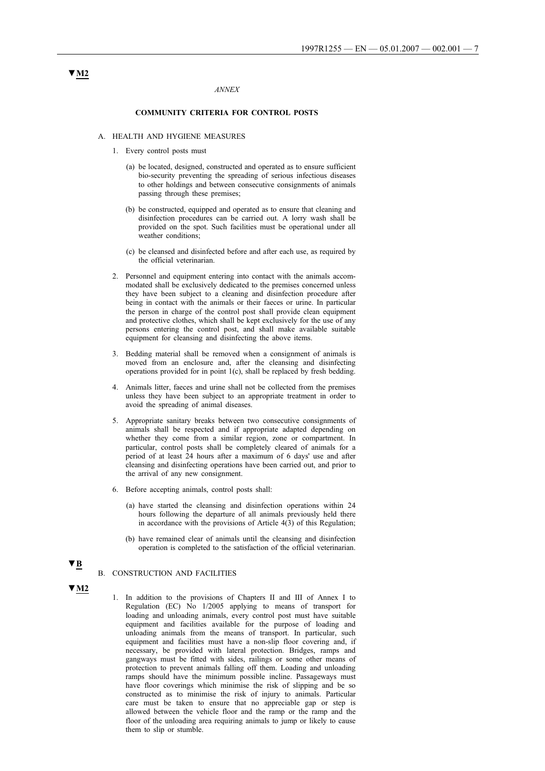#### *ANNEX*

#### **COMMUNITY CRITERIA FOR CONTROL POSTS**

#### A. HEALTH AND HYGIENE MEASURES

- 1. Every control posts must
	- (a) be located, designed, constructed and operated as to ensure sufficient bio-security preventing the spreading of serious infectious diseases to other holdings and between consecutive consignments of animals passing through these premises;
	- (b) be constructed, equipped and operated as to ensure that cleaning and disinfection procedures can be carried out. A lorry wash shall be provided on the spot. Such facilities must be operational under all weather conditions;
	- (c) be cleansed and disinfected before and after each use, as required by the official veterinarian.
- 2. Personnel and equipment entering into contact with the animals accommodated shall be exclusively dedicated to the premises concerned unless they have been subject to a cleaning and disinfection procedure after being in contact with the animals or their faeces or urine. In particular the person in charge of the control post shall provide clean equipment and protective clothes, which shall be kept exclusively for the use of any persons entering the control post, and shall make available suitable equipment for cleansing and disinfecting the above items.
- 3. Bedding material shall be removed when a consignment of animals is moved from an enclosure and, after the cleansing and disinfecting operations provided for in point 1(c), shall be replaced by fresh bedding.
- 4. Animals litter, faeces and urine shall not be collected from the premises unless they have been subject to an appropriate treatment in order to avoid the spreading of animal diseases.
- 5. Appropriate sanitary breaks between two consecutive consignments of animals shall be respected and if appropriate adapted depending on whether they come from a similar region, zone or compartment. In particular, control posts shall be completely cleared of animals for a period of at least 24 hours after a maximum of 6 days' use and after cleansing and disinfecting operations have been carried out, and prior to the arrival of any new consignment.
- 6. Before accepting animals, control posts shall:
	- (a) have started the cleansing and disinfection operations within 24 hours following the departure of all animals previously held there in accordance with the provisions of Article 4(3) of this Regulation;
	- (b) have remained clear of animals until the cleansing and disinfection operation is completed to the satisfaction of the official veterinarian.

#### B. CONSTRUCTION AND FACILITIES

**▼M2**

**▼B**

1. In addition to the provisions of Chapters II and III of Annex I to Regulation (EC) No 1/2005 applying to means of transport for loading and unloading animals, every control post must have suitable equipment and facilities available for the purpose of loading and unloading animals from the means of transport. In particular, such equipment and facilities must have a non-slip floor covering and, if necessary, be provided with lateral protection. Bridges, ramps and gangways must be fitted with sides, railings or some other means of protection to prevent animals falling off them. Loading and unloading ramps should have the minimum possible incline. Passageways must have floor coverings which minimise the risk of slipping and be so constructed as to minimise the risk of injury to animals. Particular care must be taken to ensure that no appreciable gap or step is allowed between the vehicle floor and the ramp or the ramp and the floor of the unloading area requiring animals to jump or likely to cause them to slip or stumble.

# **▼M2**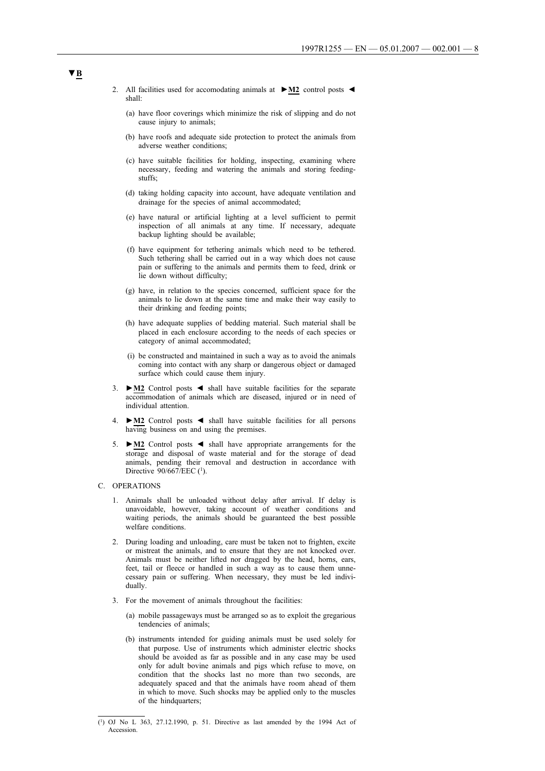- 2. All facilities used for accomodating animals at **►M2** control posts ◄ shall:
	- (a) have floor coverings which minimize the risk of slipping and do not cause injury to animals;
	- (b) have roofs and adequate side protection to protect the animals from adverse weather conditions;
	- (c) have suitable facilities for holding, inspecting, examining where necessary, feeding and watering the animals and storing feedingstuffs;
	- (d) taking holding capacity into account, have adequate ventilation and drainage for the species of animal accommodated;
	- (e) have natural or artificial lighting at a level sufficient to permit inspection of all animals at any time. If necessary, adequate backup lighting should be available;
	- (f) have equipment for tethering animals which need to be tethered. Such tethering shall be carried out in a way which does not cause pain or suffering to the animals and permits them to feed, drink or lie down without difficulty;
	- (g) have, in relation to the species concerned, sufficient space for the animals to lie down at the same time and make their way easily to their drinking and feeding points;
	- (h) have adequate supplies of bedding material. Such material shall be placed in each enclosure according to the needs of each species or category of animal accommodated;
	- (i) be constructed and maintained in such a way as to avoid the animals coming into contact with any sharp or dangerous object or damaged surface which could cause them injury.
- 3. **►M2** Control posts ◄ shall have suitable facilities for the separate accommodation of animals which are diseased, injured or in need of individual attention.
- 4. **►M2** Control posts ◄ shall have suitable facilities for all persons having business on and using the premises.
- 5. **►M2** Control posts ◄ shall have appropriate arrangements for the storage and disposal of waste material and for the storage of dead animals, pending their removal and destruction in accordance with Directive 90/667/EEC (<sup>1</sup>).
- C. OPERATIONS
	- 1. Animals shall be unloaded without delay after arrival. If delay is unavoidable, however, taking account of weather conditions and waiting periods, the animals should be guaranteed the best possible welfare conditions.
	- 2. During loading and unloading, care must be taken not to frighten, excite or mistreat the animals, and to ensure that they are not knocked over. Animals must be neither lifted nor dragged by the head, horns, ears, feet, tail or fleece or handled in such a way as to cause them unnecessary pain or suffering. When necessary, they must be led individually.
	- 3. For the movement of animals throughout the facilities:
		- (a) mobile passageways must be arranged so as to exploit the gregarious tendencies of animals;
		- (b) instruments intended for guiding animals must be used solely for that purpose. Use of instruments which administer electric shocks should be avoided as far as possible and in any case may be used only for adult bovine animals and pigs which refuse to move, on condition that the shocks last no more than two seconds, are adequately spaced and that the animals have room ahead of them in which to move. Such shocks may be applied only to the muscles of the hindquarters;

<sup>(1)</sup> OJ No L 363, 27.12.1990, p. 51. Directive as last amended by the 1994 Act of Accession.